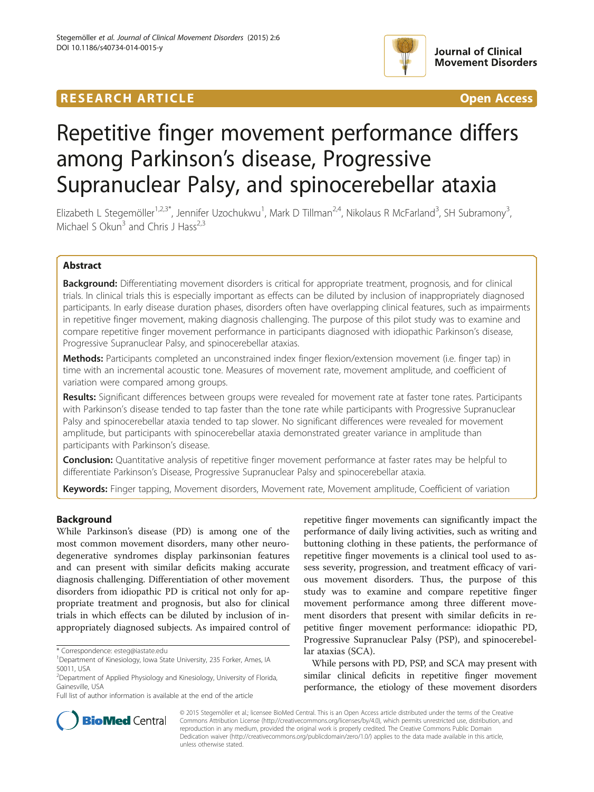# **RESEARCH ARTICLE Example 2018 CONSIDERING A RESEARCH ARTICLE**

# Repetitive finger movement performance differs among Parkinson's disease, Progressive Supranuclear Palsy, and spinocerebellar ataxia

Elizabeth L Stegemöller<sup>1,2,3\*</sup>, Jennifer Uzochukwu<sup>1</sup>, Mark D Tillman<sup>2,4</sup>, Nikolaus R McFarland<sup>3</sup>, SH Subramony<sup>3</sup> , Michael S Okun<sup>3</sup> and Chris J Hass<sup>2,3</sup>

# Abstract

Background: Differentiating movement disorders is critical for appropriate treatment, prognosis, and for clinical trials. In clinical trials this is especially important as effects can be diluted by inclusion of inappropriately diagnosed participants. In early disease duration phases, disorders often have overlapping clinical features, such as impairments in repetitive finger movement, making diagnosis challenging. The purpose of this pilot study was to examine and compare repetitive finger movement performance in participants diagnosed with idiopathic Parkinson's disease, Progressive Supranuclear Palsy, and spinocerebellar ataxias.

Methods: Participants completed an unconstrained index finger flexion/extension movement (i.e. finger tap) in time with an incremental acoustic tone. Measures of movement rate, movement amplitude, and coefficient of variation were compared among groups.

Results: Significant differences between groups were revealed for movement rate at faster tone rates. Participants with Parkinson's disease tended to tap faster than the tone rate while participants with Progressive Supranuclear Palsy and spinocerebellar ataxia tended to tap slower. No significant differences were revealed for movement amplitude, but participants with spinocerebellar ataxia demonstrated greater variance in amplitude than participants with Parkinson's disease.

Conclusion: Quantitative analysis of repetitive finger movement performance at faster rates may be helpful to differentiate Parkinson's Disease, Progressive Supranuclear Palsy and spinocerebellar ataxia.

Keywords: Finger tapping, Movement disorders, Movement rate, Movement amplitude, Coefficient of variation

# Background

While Parkinson's disease (PD) is among one of the most common movement disorders, many other neurodegenerative syndromes display parkinsonian features and can present with similar deficits making accurate diagnosis challenging. Differentiation of other movement disorders from idiopathic PD is critical not only for appropriate treatment and prognosis, but also for clinical trials in which effects can be diluted by inclusion of inappropriately diagnosed subjects. As impaired control of

repetitive finger movements can significantly impact the performance of daily living activities, such as writing and buttoning clothing in these patients, the performance of repetitive finger movements is a clinical tool used to assess severity, progression, and treatment efficacy of various movement disorders. Thus, the purpose of this study was to examine and compare repetitive finger movement performance among three different movement disorders that present with similar deficits in repetitive finger movement performance: idiopathic PD, Progressive Supranuclear Palsy (PSP), and spinocerebellar ataxias (SCA).

While persons with PD, PSP, and SCA may present with similar clinical deficits in repetitive finger movement performance, the etiology of these movement disorders



© 2015 Stegemöller et al.; licensee BioMed Central. This is an Open Access article distributed under the terms of the Creative Commons Attribution License [\(http://creativecommons.org/licenses/by/4.0\)](http://creativecommons.org/licenses/by/4.0), which permits unrestricted use, distribution, and reproduction in any medium, provided the original work is properly credited. The Creative Commons Public Domain Dedication waiver [\(http://creativecommons.org/publicdomain/zero/1.0/](http://creativecommons.org/publicdomain/zero/1.0/)) applies to the data made available in this article, unless otherwise stated.

<sup>\*</sup> Correspondence: [esteg@iastate.edu](mailto:esteg@iastate.edu) <sup>1</sup>

<sup>&</sup>lt;sup>1</sup>Department of Kinesiology, Iowa State University, 235 Forker, Ames, IA 50011, USA

<sup>&</sup>lt;sup>2</sup>Department of Applied Physiology and Kinesiology, University of Florida, Gainesville, USA

Full list of author information is available at the end of the article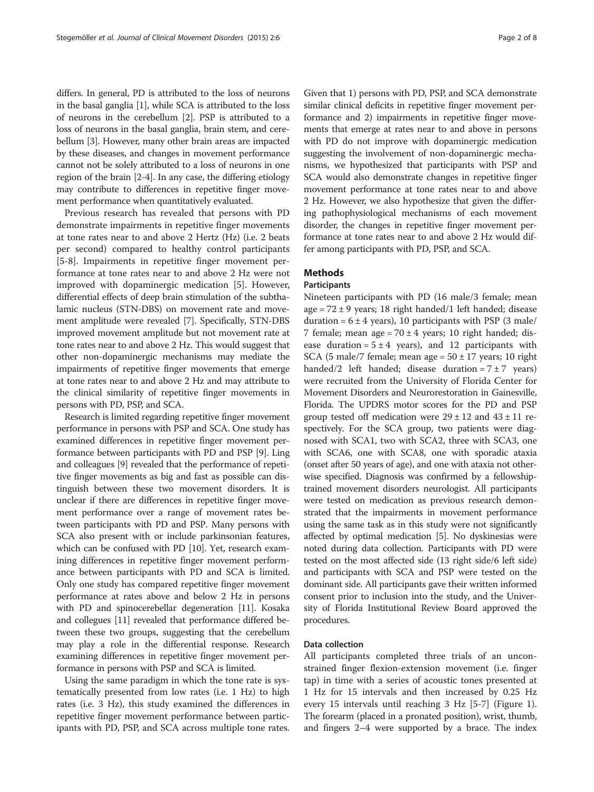differs. In general, PD is attributed to the loss of neurons in the basal ganglia [[1](#page-6-0)], while SCA is attributed to the loss of neurons in the cerebellum [[2\]](#page-6-0). PSP is attributed to a loss of neurons in the basal ganglia, brain stem, and cerebellum [\[3](#page-6-0)]. However, many other brain areas are impacted by these diseases, and changes in movement performance cannot not be solely attributed to a loss of neurons in one region of the brain [\[2](#page-6-0)-[4](#page-6-0)]. In any case, the differing etiology may contribute to differences in repetitive finger movement performance when quantitatively evaluated.

Previous research has revealed that persons with PD demonstrate impairments in repetitive finger movements at tone rates near to and above 2 Hertz (Hz) (i.e. 2 beats per second) compared to healthy control participants [[5-8](#page-6-0)]. Impairments in repetitive finger movement performance at tone rates near to and above 2 Hz were not improved with dopaminergic medication [\[5](#page-6-0)]. However, differential effects of deep brain stimulation of the subthalamic nucleus (STN-DBS) on movement rate and movement amplitude were revealed [\[7\]](#page-6-0). Specifically, STN-DBS improved movement amplitude but not movement rate at tone rates near to and above 2 Hz. This would suggest that other non-dopaminergic mechanisms may mediate the impairments of repetitive finger movements that emerge at tone rates near to and above 2 Hz and may attribute to the clinical similarity of repetitive finger movements in persons with PD, PSP, and SCA.

Research is limited regarding repetitive finger movement performance in persons with PSP and SCA. One study has examined differences in repetitive finger movement performance between participants with PD and PSP [[9](#page-7-0)]. Ling and colleagues [[9](#page-7-0)] revealed that the performance of repetitive finger movements as big and fast as possible can distinguish between these two movement disorders. It is unclear if there are differences in repetitive finger movement performance over a range of movement rates between participants with PD and PSP. Many persons with SCA also present with or include parkinsonian features, which can be confused with PD [\[10\]](#page-7-0). Yet, research examining differences in repetitive finger movement performance between participants with PD and SCA is limited. Only one study has compared repetitive finger movement performance at rates above and below 2 Hz in persons with PD and spinocerebellar degeneration [\[11\]](#page-7-0). Kosaka and collegues [[11](#page-7-0)] revealed that performance differed between these two groups, suggesting that the cerebellum may play a role in the differential response. Research examining differences in repetitive finger movement performance in persons with PSP and SCA is limited.

Using the same paradigm in which the tone rate is systematically presented from low rates (i.e. 1 Hz) to high rates (i.e. 3 Hz), this study examined the differences in repetitive finger movement performance between participants with PD, PSP, and SCA across multiple tone rates.

Given that 1) persons with PD, PSP, and SCA demonstrate similar clinical deficits in repetitive finger movement performance and 2) impairments in repetitive finger move-

ments that emerge at rates near to and above in persons with PD do not improve with dopaminergic medication suggesting the involvement of non-dopaminergic mechanisms, we hypothesized that participants with PSP and SCA would also demonstrate changes in repetitive finger movement performance at tone rates near to and above 2 Hz. However, we also hypothesize that given the differing pathophysiological mechanisms of each movement disorder, the changes in repetitive finger movement performance at tone rates near to and above 2 Hz would differ among participants with PD, PSP, and SCA.

#### Methods

# Participants

Nineteen participants with PD (16 male/3 female; mean age =  $72 \pm 9$  years; 18 right handed/1 left handed; disease duration =  $6 \pm 4$  years), 10 participants with PSP (3 male/ 7 female; mean age =  $70 \pm 4$  years; 10 right handed; disease duration =  $5 \pm 4$  years), and 12 participants with SCA (5 male/7 female; mean age =  $50 \pm 17$  years; 10 right handed/2 left handed; disease duration =  $7 \pm 7$  years) were recruited from the University of Florida Center for Movement Disorders and Neurorestoration in Gainesville, Florida. The UPDRS motor scores for the PD and PSP group tested off medication were  $29 \pm 12$  and  $43 \pm 11$  respectively. For the SCA group, two patients were diagnosed with SCA1, two with SCA2, three with SCA3, one with SCA6, one with SCA8, one with sporadic ataxia (onset after 50 years of age), and one with ataxia not otherwise specified. Diagnosis was confirmed by a fellowshiptrained movement disorders neurologist. All participants were tested on medication as previous research demonstrated that the impairments in movement performance using the same task as in this study were not significantly affected by optimal medication [\[5\]](#page-6-0). No dyskinesias were noted during data collection. Participants with PD were tested on the most affected side (13 right side/6 left side) and participants with SCA and PSP were tested on the dominant side. All participants gave their written informed consent prior to inclusion into the study, and the University of Florida Institutional Review Board approved the procedures.

# Data collection

All participants completed three trials of an unconstrained finger flexion-extension movement (i.e. finger tap) in time with a series of acoustic tones presented at 1 Hz for 15 intervals and then increased by 0.25 Hz every 15 intervals until reaching 3 Hz [\[5](#page-6-0)-[7\]](#page-6-0) (Figure [1](#page-2-0)). The forearm (placed in a pronated position), wrist, thumb, and fingers 2–4 were supported by a brace. The index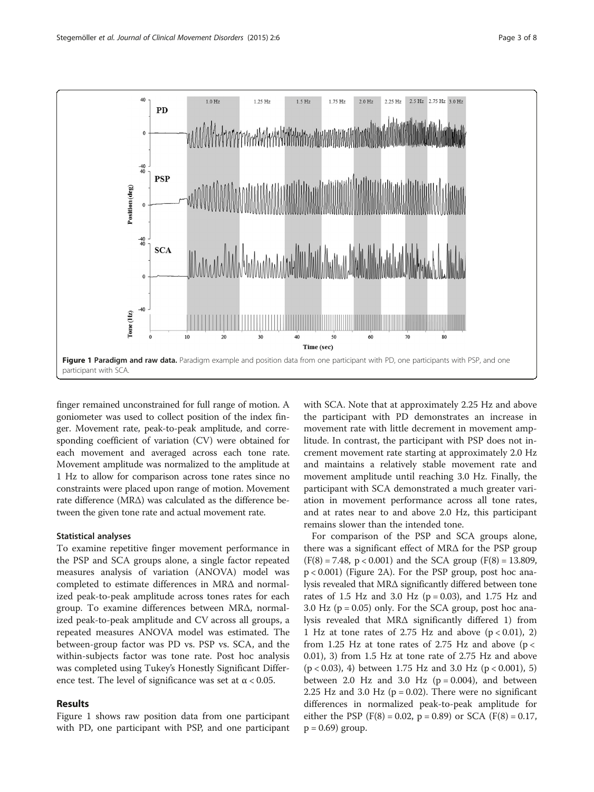<span id="page-2-0"></span>

finger remained unconstrained for full range of motion. A goniometer was used to collect position of the index finger. Movement rate, peak-to-peak amplitude, and corresponding coefficient of variation (CV) were obtained for each movement and averaged across each tone rate. Movement amplitude was normalized to the amplitude at 1 Hz to allow for comparison across tone rates since no constraints were placed upon range of motion. Movement rate difference (MRΔ) was calculated as the difference between the given tone rate and actual movement rate.

#### Statistical analyses

To examine repetitive finger movement performance in the PSP and SCA groups alone, a single factor repeated measures analysis of variation (ANOVA) model was completed to estimate differences in MRΔ and normalized peak-to-peak amplitude across tones rates for each group. To examine differences between MRΔ, normalized peak-to-peak amplitude and CV across all groups, a repeated measures ANOVA model was estimated. The between-group factor was PD vs. PSP vs. SCA, and the within-subjects factor was tone rate. Post hoc analysis was completed using Tukey's Honestly Significant Difference test. The level of significance was set at  $\alpha$  < 0.05.

# Results

Figure 1 shows raw position data from one participant with PD, one participant with PSP, and one participant with SCA. Note that at approximately 2.25 Hz and above the participant with PD demonstrates an increase in movement rate with little decrement in movement amplitude. In contrast, the participant with PSP does not increment movement rate starting at approximately 2.0 Hz and maintains a relatively stable movement rate and movement amplitude until reaching 3.0 Hz. Finally, the participant with SCA demonstrated a much greater variation in movement performance across all tone rates, and at rates near to and above 2.0 Hz, this participant remains slower than the intended tone.

For comparison of the PSP and SCA groups alone, there was a significant effect of MRΔ for the PSP group  $(F(8) = 7.48, p < 0.001)$  and the SCA group  $(F(8) = 13.809,$ p < 0.001) (Figure [2A](#page-3-0)). For the PSP group, post hoc analysis revealed that MRΔ significantly differed between tone rates of 1.5 Hz and 3.0 Hz ( $p = 0.03$ ), and 1.75 Hz and 3.0 Hz ( $p = 0.05$ ) only. For the SCA group, post hoc analysis revealed that MRΔ significantly differed 1) from 1 Hz at tone rates of 2.75 Hz and above  $(p < 0.01)$ , 2) from 1.25 Hz at tone rates of 2.75 Hz and above ( $p <$ 0.01), 3) from 1.5 Hz at tone rate of 2.75 Hz and above (p < 0.03), 4) between 1.75 Hz and 3.0 Hz (p < 0.001), 5) between 2.0 Hz and 3.0 Hz ( $p = 0.004$ ), and between 2.25 Hz and 3.0 Hz ( $p = 0.02$ ). There were no significant differences in normalized peak-to-peak amplitude for either the PSP (F(8) = 0.02, p = 0.89) or SCA (F(8) = 0.17,  $p = 0.69$ ) group.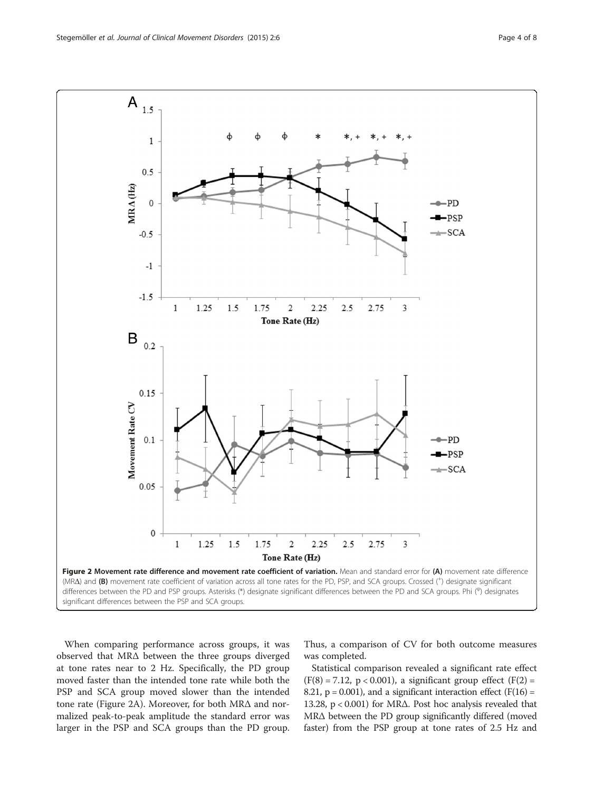<span id="page-3-0"></span>

When comparing performance across groups, it was observed that MRΔ between the three groups diverged at tone rates near to 2 Hz. Specifically, the PD group moved faster than the intended tone rate while both the PSP and SCA group moved slower than the intended tone rate (Figure 2A). Moreover, for both MRΔ and normalized peak-to-peak amplitude the standard error was larger in the PSP and SCA groups than the PD group. Thus, a comparison of CV for both outcome measures was completed.

Statistical comparison revealed a significant rate effect  $(F(8) = 7.12, p < 0.001)$ , a significant group effect  $(F(2) =$ 8.21,  $p = 0.001$ ), and a significant interaction effect (F(16) = 13.28, p < 0.001) for MRΔ. Post hoc analysis revealed that MRΔ between the PD group significantly differed (moved faster) from the PSP group at tone rates of 2.5 Hz and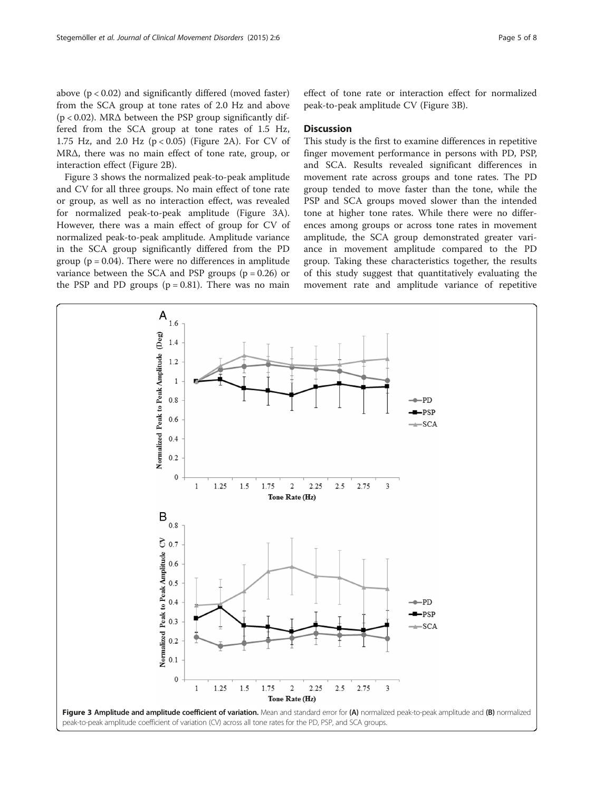above  $(p < 0.02)$  and significantly differed (moved faster) from the SCA group at tone rates of 2.0 Hz and above ( $p < 0.02$ ). MR $\triangle$  between the PSP group significantly differed from the SCA group at tone rates of 1.5 Hz, 1.75 Hz, and 2.0 Hz (p < 0.05) (Figure [2](#page-3-0)A). For CV of MRΔ, there was no main effect of tone rate, group, or interaction effect (Figure [2](#page-3-0)B).

Figure 3 shows the normalized peak-to-peak amplitude and CV for all three groups. No main effect of tone rate or group, as well as no interaction effect, was revealed for normalized peak-to-peak amplitude (Figure 3A). However, there was a main effect of group for CV of normalized peak-to-peak amplitude. Amplitude variance in the SCA group significantly differed from the PD group ( $p = 0.04$ ). There were no differences in amplitude variance between the SCA and PSP groups  $(p = 0.26)$  or the PSP and PD groups  $(p = 0.81)$ . There was no main effect of tone rate or interaction effect for normalized peak-to-peak amplitude CV (Figure 3B).

# **Discussion**

This study is the first to examine differences in repetitive finger movement performance in persons with PD, PSP, and SCA. Results revealed significant differences in movement rate across groups and tone rates. The PD group tended to move faster than the tone, while the PSP and SCA groups moved slower than the intended tone at higher tone rates. While there were no differences among groups or across tone rates in movement amplitude, the SCA group demonstrated greater variance in movement amplitude compared to the PD group. Taking these characteristics together, the results of this study suggest that quantitatively evaluating the movement rate and amplitude variance of repetitive

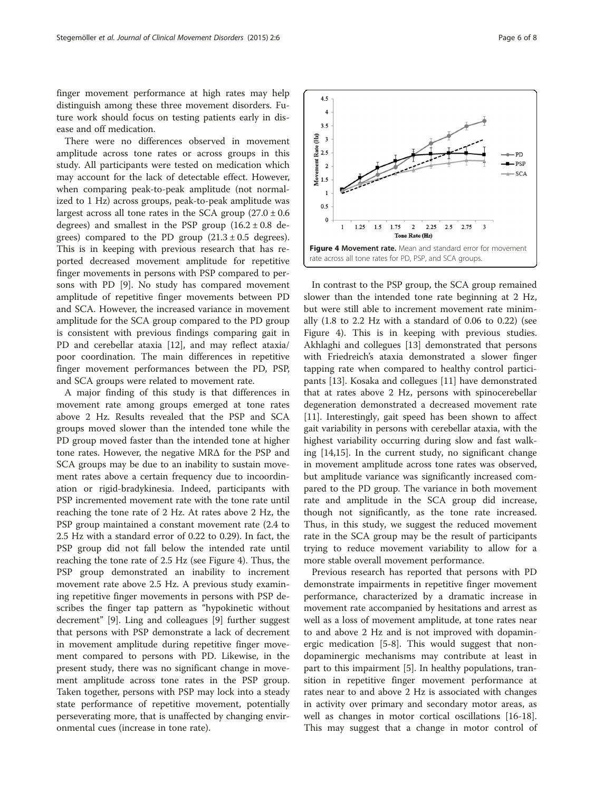finger movement performance at high rates may help distinguish among these three movement disorders. Future work should focus on testing patients early in disease and off medication.

There were no differences observed in movement amplitude across tone rates or across groups in this study. All participants were tested on medication which may account for the lack of detectable effect. However, when comparing peak-to-peak amplitude (not normalized to 1 Hz) across groups, peak-to-peak amplitude was largest across all tone rates in the SCA group  $(27.0 \pm 0.6)$ degrees) and smallest in the PSP group  $(16.2 \pm 0.8)$  degrees) compared to the PD group  $(21.3 \pm 0.5$  degrees). This is in keeping with previous research that has reported decreased movement amplitude for repetitive finger movements in persons with PSP compared to persons with PD [\[9](#page-7-0)]. No study has compared movement amplitude of repetitive finger movements between PD and SCA. However, the increased variance in movement amplitude for the SCA group compared to the PD group is consistent with previous findings comparing gait in PD and cerebellar ataxia [[12\]](#page-7-0), and may reflect ataxia/ poor coordination. The main differences in repetitive finger movement performances between the PD, PSP, and SCA groups were related to movement rate.

A major finding of this study is that differences in movement rate among groups emerged at tone rates above 2 Hz. Results revealed that the PSP and SCA groups moved slower than the intended tone while the PD group moved faster than the intended tone at higher tone rates. However, the negative MRΔ for the PSP and SCA groups may be due to an inability to sustain movement rates above a certain frequency due to incoordination or rigid-bradykinesia. Indeed, participants with PSP incremented movement rate with the tone rate until reaching the tone rate of 2 Hz. At rates above 2 Hz, the PSP group maintained a constant movement rate (2.4 to 2.5 Hz with a standard error of 0.22 to 0.29). In fact, the PSP group did not fall below the intended rate until reaching the tone rate of 2.5 Hz (see Figure 4). Thus, the PSP group demonstrated an inability to increment movement rate above 2.5 Hz. A previous study examining repetitive finger movements in persons with PSP describes the finger tap pattern as "hypokinetic without decrement" [[9\]](#page-7-0). Ling and colleagues [[9\]](#page-7-0) further suggest that persons with PSP demonstrate a lack of decrement in movement amplitude during repetitive finger movement compared to persons with PD. Likewise, in the present study, there was no significant change in movement amplitude across tone rates in the PSP group. Taken together, persons with PSP may lock into a steady state performance of repetitive movement, potentially perseverating more, that is unaffected by changing environmental cues (increase in tone rate).

In contrast to the PSP group, the SCA group remained slower than the intended tone rate beginning at 2 Hz, but were still able to increment movement rate minimally  $(1.8 \text{ to } 2.2 \text{ Hz with a standard of } 0.06 \text{ to } 0.22)$  (see Figure 4). This is in keeping with previous studies. Akhlaghi and collegues [\[13](#page-7-0)] demonstrated that persons with Friedreich's ataxia demonstrated a slower finger tapping rate when compared to healthy control participants [[13\]](#page-7-0). Kosaka and collegues [[11\]](#page-7-0) have demonstrated that at rates above 2 Hz, persons with spinocerebellar degeneration demonstrated a decreased movement rate [[11\]](#page-7-0). Interestingly, gait speed has been shown to affect gait variability in persons with cerebellar ataxia, with the highest variability occurring during slow and fast walking [[14,15\]](#page-7-0). In the current study, no significant change in movement amplitude across tone rates was observed, but amplitude variance was significantly increased compared to the PD group. The variance in both movement rate and amplitude in the SCA group did increase, though not significantly, as the tone rate increased. Thus, in this study, we suggest the reduced movement rate in the SCA group may be the result of participants trying to reduce movement variability to allow for a more stable overall movement performance.

Previous research has reported that persons with PD demonstrate impairments in repetitive finger movement performance, characterized by a dramatic increase in movement rate accompanied by hesitations and arrest as well as a loss of movement amplitude, at tone rates near to and above 2 Hz and is not improved with dopaminergic medication [[5-8](#page-6-0)]. This would suggest that nondopaminergic mechanisms may contribute at least in part to this impairment [\[5](#page-6-0)]. In healthy populations, transition in repetitive finger movement performance at rates near to and above 2 Hz is associated with changes in activity over primary and secondary motor areas, as well as changes in motor cortical oscillations [\[16-18](#page-7-0)]. This may suggest that a change in motor control of

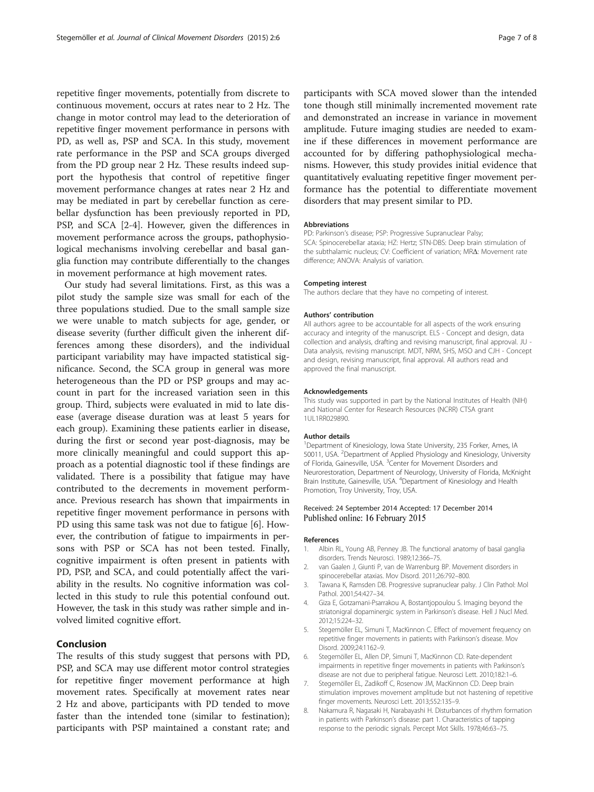<span id="page-6-0"></span>repetitive finger movements, potentially from discrete to continuous movement, occurs at rates near to 2 Hz. The change in motor control may lead to the deterioration of repetitive finger movement performance in persons with PD, as well as, PSP and SCA. In this study, movement rate performance in the PSP and SCA groups diverged from the PD group near 2 Hz. These results indeed support the hypothesis that control of repetitive finger movement performance changes at rates near 2 Hz and may be mediated in part by cerebellar function as cerebellar dysfunction has been previously reported in PD, PSP, and SCA [2-4]. However, given the differences in movement performance across the groups, pathophysiological mechanisms involving cerebellar and basal ganglia function may contribute differentially to the changes in movement performance at high movement rates.

Our study had several limitations. First, as this was a pilot study the sample size was small for each of the three populations studied. Due to the small sample size we were unable to match subjects for age, gender, or disease severity (further difficult given the inherent differences among these disorders), and the individual participant variability may have impacted statistical significance. Second, the SCA group in general was more heterogeneous than the PD or PSP groups and may account in part for the increased variation seen in this group. Third, subjects were evaluated in mid to late disease (average disease duration was at least 5 years for each group). Examining these patients earlier in disease, during the first or second year post-diagnosis, may be more clinically meaningful and could support this approach as a potential diagnostic tool if these findings are validated. There is a possibility that fatigue may have contributed to the decrements in movement performance. Previous research has shown that impairments in repetitive finger movement performance in persons with PD using this same task was not due to fatigue [6]. However, the contribution of fatigue to impairments in persons with PSP or SCA has not been tested. Finally, cognitive impairment is often present in patients with PD, PSP, and SCA, and could potentially affect the variability in the results. No cognitive information was collected in this study to rule this potential confound out. However, the task in this study was rather simple and involved limited cognitive effort.

# Conclusion

The results of this study suggest that persons with PD, PSP, and SCA may use different motor control strategies for repetitive finger movement performance at high movement rates. Specifically at movement rates near 2 Hz and above, participants with PD tended to move faster than the intended tone (similar to festination); participants with PSP maintained a constant rate; and participants with SCA moved slower than the intended tone though still minimally incremented movement rate and demonstrated an increase in variance in movement amplitude. Future imaging studies are needed to examine if these differences in movement performance are accounted for by differing pathophysiological mechanisms. However, this study provides initial evidence that quantitatively evaluating repetitive finger movement performance has the potential to differentiate movement disorders that may present similar to PD.

#### Abbreviations

PD: Parkinson's disease; PSP: Progressive Supranuclear Palsy; SCA: Spinocerebellar ataxia; HZ: Hertz; STN-DBS: Deep brain stimulation of the subthalamic nucleus; CV: Coefficient of variation; MRΔ: Movement rate difference; ANOVA: Analysis of variation.

#### Competing interest

The authors declare that they have no competing of interest.

#### Authors' contribution

All authors agree to be accountable for all aspects of the work ensuring accuracy and integrity of the manuscript. ELS - Concept and design, data collection and analysis, drafting and revising manuscript, final approval. JU - Data analysis, revising manuscript. MDT, NRM, SHS, MSO and CJH - Concept and design, revising manuscript, final approval. All authors read and approved the final manuscript.

#### Acknowledgements

This study was supported in part by the National Institutes of Health (NIH) and National Center for Research Resources (NCRR) CTSA grant 1UL1RR029890.

#### Author details

<sup>1</sup>Department of Kinesiology, Iowa State University, 235 Forker, Ames, IA 50011, USA. <sup>2</sup>Department of Applied Physiology and Kinesiology, University of Florida, Gainesville, USA. <sup>3</sup>Center for Movement Disorders and Neurorestoration, Department of Neurology, University of Florida, McKnight Brain Institute, Gainesville, USA. <sup>4</sup>Department of Kinesiology and Health Promotion, Troy University, Troy, USA.

#### Received: 24 September 2014 Accepted: 17 December 2014 Published online: 16 February 2015

#### References

- 1. Albin RL, Young AB, Penney JB. The functional anatomy of basal ganglia disorders. Trends Neurosci. 1989;12:366–75.
- 2. van Gaalen J, Giunti P, van de Warrenburg BP. Movement disorders in spinocerebellar ataxias. Mov Disord. 2011;26:792–800.
- 3. Tawana K, Ramsden DB. Progressive supranuclear palsy. J Clin Pathol: Mol Pathol. 2001;54:427–34.
- 4. Giza E, Gotzamani-Psarrakou A, Bostantjopoulou S. Imaging beyond the striatonigral dopaminergic system in Parkinson's disease. Hell J Nucl Med. 2012;15:224–32.
- 5. Stegemöller EL, Simuni T, MacKinnon C. Effect of movement frequency on repetitive finger movements in patients with Parkinson's disease. Mov Disord. 2009;24:1162–9.
- 6. Stegemöller EL, Allen DP, Simuni T, MacKinnon CD. Rate-dependent impairments in repetitive finger movements in patients with Parkinson's disease are not due to peripheral fatigue. Neurosci Lett. 2010;182:1–6.
- 7. Stegemöller EL, Zadikoff C, Rosenow JM, MacKinnon CD. Deep brain stimulation improves movement amplitude but not hastening of repetitive finger movements. Neurosci Lett. 2013;552:135–9.
- 8. Nakamura R, Nagasaki H, Narabayashi H. Disturbances of rhythm formation in patients with Parkinson's disease: part 1. Characteristics of tapping response to the periodic signals. Percept Mot Skills. 1978;46:63–75.